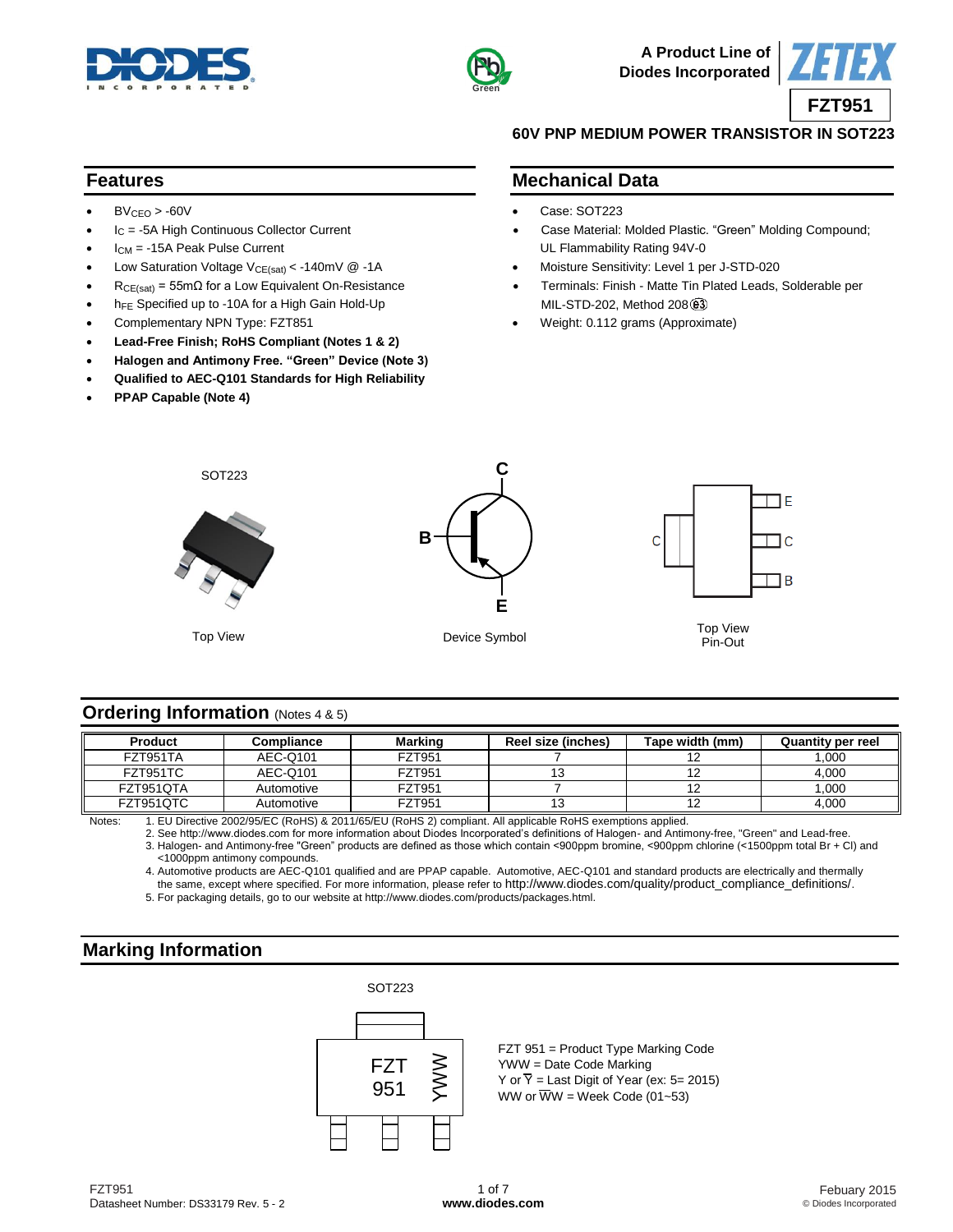



**A Product Line of Diodes Incorporated**



#### **60V PNP MEDIUM POWER TRANSISTOR IN SOT223**

#### **Features**

- $BV_{CEO} > -60V$
- I<sub>C</sub> = -5A High Continuous Collector Current
- ICM = -15A Peak Pulse Current
- Low Saturation Voltage  $V_{CE(sat)} < -140$ mV @ -1A
- $R_{CE(sat)} = 55 \text{m}\Omega$  for a Low Equivalent On-Resistance
- h<sub>FE</sub> Specified up to -10A for a High Gain Hold-Up
- Complementary NPN Type: FZT851
- **Lead-Free Finish; RoHS Compliant (Notes 1 & 2)**
- **Halogen and Antimony Free. "Green" Device (Note 3)**
- **Qualified to AEC-Q101 Standards for High Reliability**
- **PPAP Capable (Note 4)**
- **Mechanical Data**
- Case: SOT223
- Case Material: Molded Plastic. "Green" Molding Compound; UL Flammability Rating 94V-0
- Moisture Sensitivity: Level 1 per J-STD-020
- Terminals: Finish Matte Tin Plated Leads, Solderable per MIL-STD-202, Method 208
- Weight: 0.112 grams (Approximate)



#### **Ordering Information** (Notes 4 & 5)

| <b>Product</b> | Compliance | <b>Marking</b> | Reel size (inches) | Tape width (mm) | Quantity per reel |
|----------------|------------|----------------|--------------------|-----------------|-------------------|
| FZT951TA       | AEC-Q101   | FZT951         |                    |                 | 1.000             |
| FZT951TC       | AEC-Q101   | FZT951         |                    |                 | 4.000             |
| FZT951QTA      | Automotive | FZT951         |                    |                 | 1.000             |
| FZT951QTC      | Automotive | FZT951         |                    |                 | 4.000             |

Notes: 1. EU Directive 2002/95/EC (RoHS) & 2011/65/EU (RoHS 2) compliant. All applicable RoHS exemptions applied.

2. See [http://www.diodes.com fo](http://www.diodes.com)r more information about Diodes Incorporated's definitions of Halogen- and Antimony-free, "Green" and Lead-free. 3. Halogen- and Antimony-free "Green" products are defined as those which contain <900ppm bromine, <900ppm chlorine (<1500ppm total Br + Cl) and <1000ppm antimony compounds.

4. Automotive products are AEC-Q101 qualified and are PPAP capable. Automotive, AEC-Q101 and standard products are electrically and thermally the same, except where specified. For more information, please refer to [http://www.diodes.com/quality/product\\_compliance\\_definitions/](http://www.diodes.com/quality/product_compliance_definitions/).

FZT 951 = Product Type Marking Code

Y or  $\overline{Y}$  = Last Digit of Year (ex: 5= 2015)

WW or  $\overline{W}W$  = Week Code (01~53)

YWW = Date Code Marking

5. For packaging details, go to our website at [http://www.diodes.com/products/packages.html.](http://www.diodes.com/products/packages.html)

## **Marking Information**



FZT951 Datasheet Number: DS33179 Rev. 5 - 2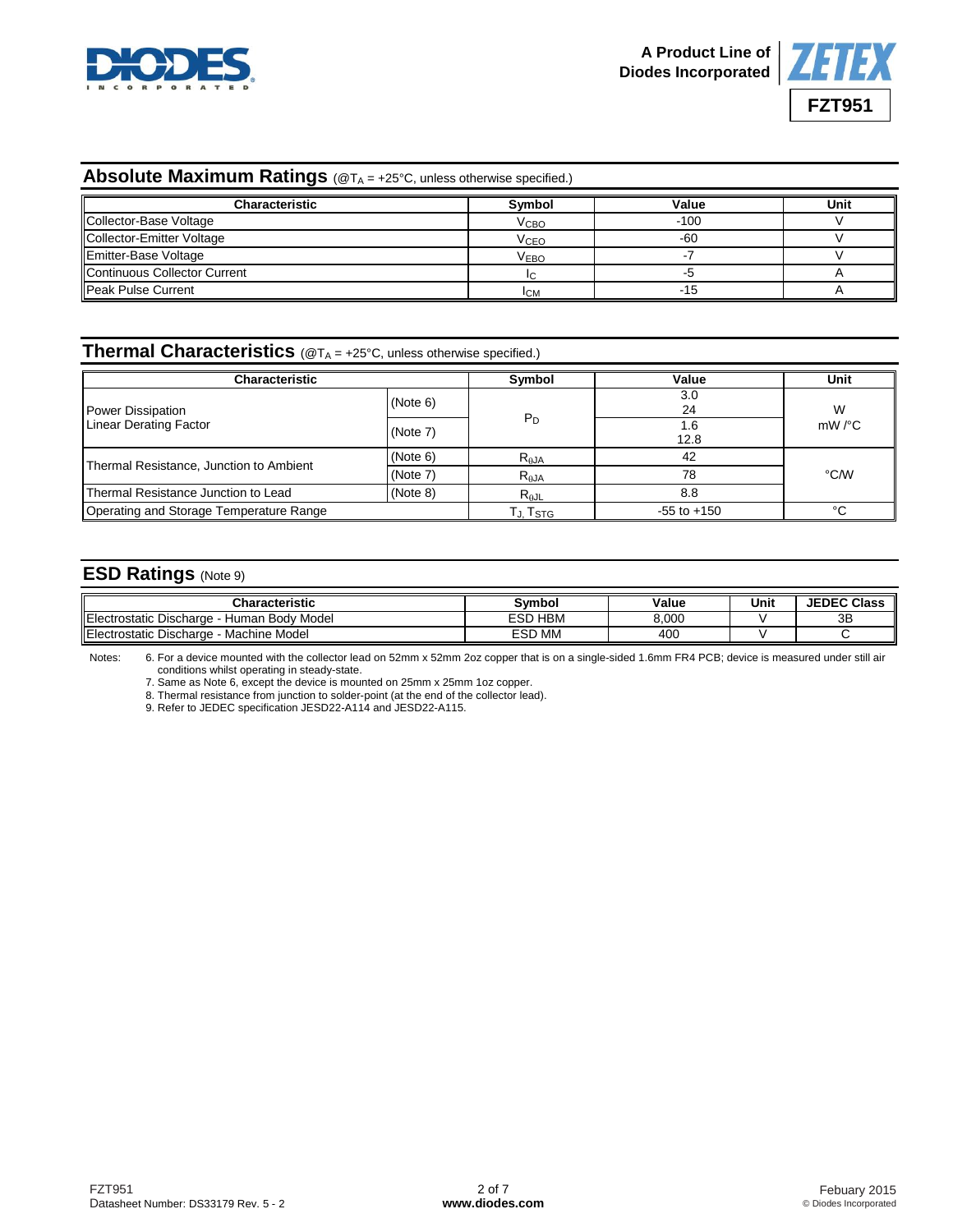



#### **Absolute Maximum Ratings** (@T<sub>A</sub> = +25°C, unless otherwise specified.)

| <b>Characteristic</b>        | Symbol                  | Value  | Unit |
|------------------------------|-------------------------|--------|------|
| Collector-Base Voltage       | <b>V</b> <sub>CВО</sub> | $-100$ |      |
| Collector-Emitter Voltage    | <b>V<sub>CEO</sub></b>  | -60    |      |
| Emitter-Base Voltage         | <b>VEBO</b>             |        |      |
| Continuous Collector Current |                         |        |      |
| Peak Pulse Current           | <b>ICM</b>              | -15    |      |

### **Thermal Characteristics** (@T<sup>A</sup> = +25°C, unless otherwise specified.)

| Characteristic                                  | Symbol   | Value           | Unit        |                         |  |
|-------------------------------------------------|----------|-----------------|-------------|-------------------------|--|
| <b>Power Dissipation</b>                        | (Note 6) |                 | 3.0<br>24   | W<br>$mW$ / $\degree$ C |  |
| <b>Linear Derating Factor</b>                   | (Note 7) | $P_D$           | 1.6<br>12.8 |                         |  |
|                                                 | (Note 6) | $R_{\theta$ JA  | 42          |                         |  |
| Thermal Resistance, Junction to Ambient         | (Note 7) | $R_{\theta}$ JA | 78          | °C/W                    |  |
| (Note 8)<br>Thermal Resistance Junction to Lead |          | $R_{\theta$ JL  | 8.8         |                         |  |
| Operating and Storage Temperature Range         | Tj. Tstg | $-55$ to $+150$ | °C          |                         |  |

#### **ESD Ratings** (Note 9)

| <b>Characteristic</b>                                         | Svmbol                  | Value | Unit | <b>JEDEC Class</b> |
|---------------------------------------------------------------|-------------------------|-------|------|--------------------|
| $\sim$<br>Body Model ו<br>rostatic Discharge<br>Human<br>-lec | <b>HBN</b><br>≘SD       | 8.000 |      | 3B                 |
| $\sim$<br>Machine Model<br>Electrostatic Discharge            | <b>MN</b><br><b>ESD</b> | 400   |      |                    |

Notes: 6. For a device mounted with the collector lead on 52mm x 52mm 2oz copper that is on a single-sided 1.6mm FR4 PCB; device is measured under still air conditions whilst operating in steady-state.

7. Same as Note 6, except the device is mounted on 25mm x 25mm 1oz copper.

8. Thermal resistance from junction to solder-point (at the end of the collector lead).

9. Refer to JEDEC specification JESD22-A114 and JESD22-A115.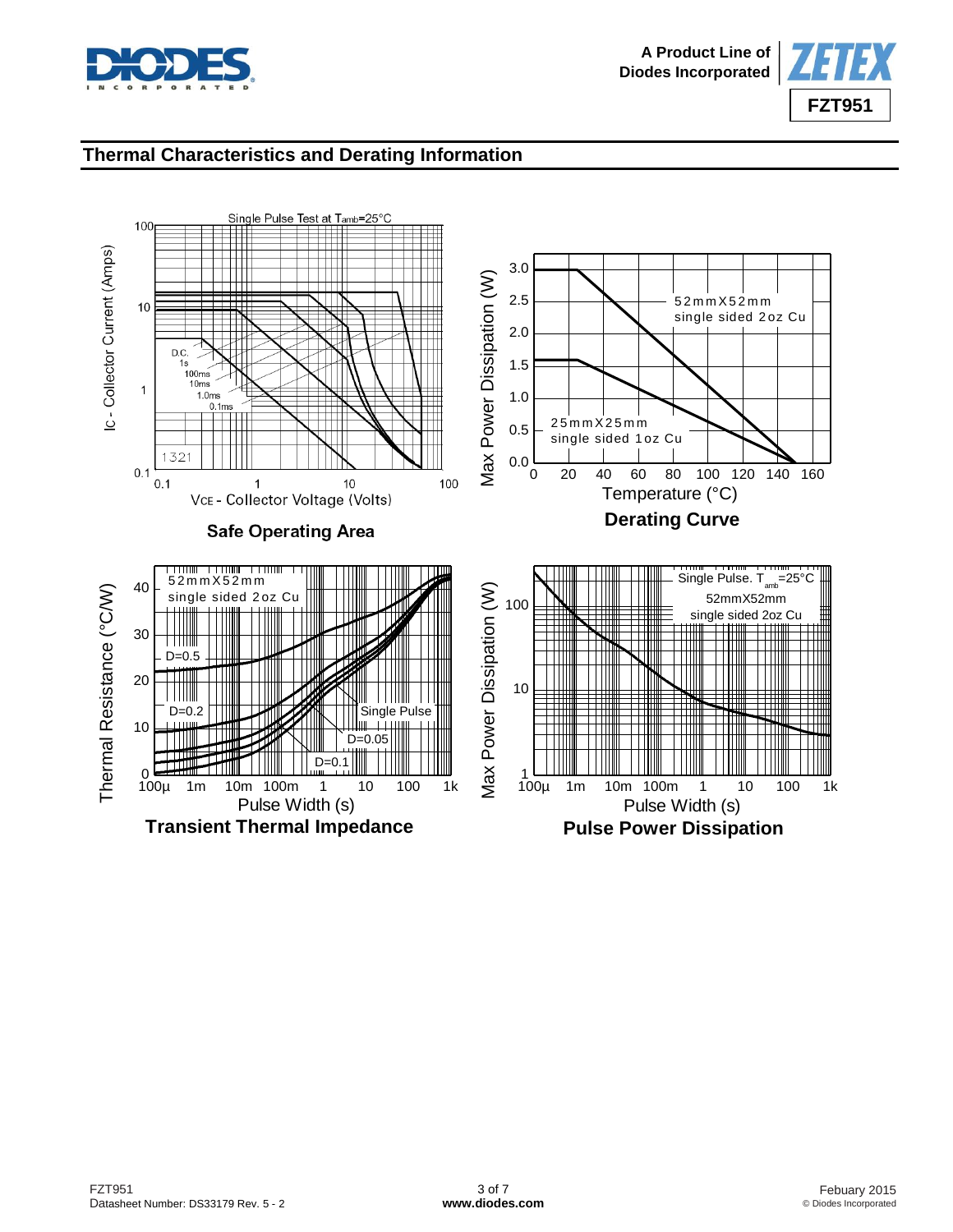



## **Thermal Characteristics and Derating Information**

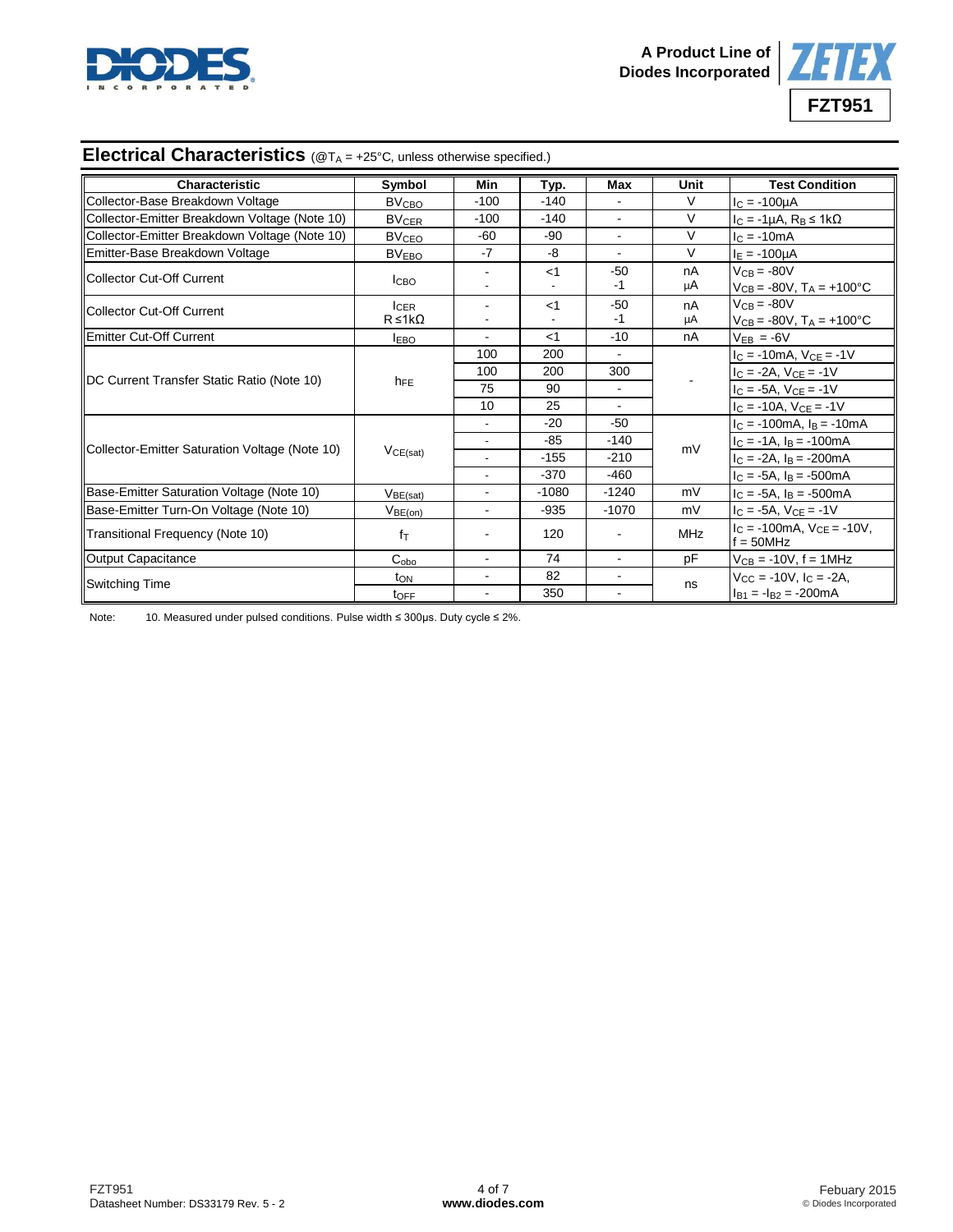



# **Electrical Characteristics** (@T<sub>A</sub> = +25°C, unless otherwise specified.)

| <b>Characteristic</b>                          | Symbol                  | Min            | Typ.    | Max            | Unit       | <b>Test Condition</b>                                      |
|------------------------------------------------|-------------------------|----------------|---------|----------------|------------|------------------------------------------------------------|
| Collector-Base Breakdown Voltage               | <b>BV<sub>CBO</sub></b> | $-100$         | $-140$  |                | $\vee$     | $I_C = -100 \mu A$                                         |
| Collector-Emitter Breakdown Voltage (Note 10)  | <b>BV<sub>CER</sub></b> | $-100$         | $-140$  | $\blacksquare$ | $\vee$     | $I_C = -1\mu A$ , $R_B \leq 1k\Omega$                      |
| Collector-Emitter Breakdown Voltage (Note 10)  | <b>BV<sub>CEO</sub></b> | $-60$          | $-90$   | ÷              | $\vee$     | $c = -10mA$                                                |
| Emitter-Base Breakdown Voltage                 | <b>BVEBO</b>            | $-7$           | -8      |                | V          | $I_E = -100 \mu A$                                         |
| <b>IICollector Cut-Off Current</b>             | <b>I</b> CBO            |                | $<$ 1   | $-50$          | nA         | $V_{CB} = -80V$                                            |
|                                                |                         |                |         | -1             | μA         | $V_{CB} = -80V$ , $T_A = +100^{\circ}C$                    |
| <b>IICollector Cut-Off Current</b>             | <b>ICER</b>             |                | $<$ 1   | $-50$          | nA         | $V_{CB} = -80V$                                            |
|                                                | $R \leq 1k\Omega$       | $\blacksquare$ |         | $-1$           | μA         | $V_{CB} = -80V$ , $T_A = +100^{\circ}C$                    |
| Emitter Cut-Off Current                        | <b>LEBO</b>             | $\blacksquare$ | $<$ 1   | $-10$          | nA         | $V_{EB} = -6V$                                             |
|                                                | h <sub>FE</sub>         | 100            | 200     | $\blacksquare$ |            | $I_C = -10mA$ , $V_{CE} = -1V$                             |
| DC Current Transfer Static Ratio (Note 10)     |                         | 100            | 200     | 300            |            | $I_C = -2A$ , $V_{CE} = -1V$                               |
|                                                |                         | 75             | 90      | $\mathbf{r}$   |            | $I_C = -5A$ , $V_{CE} = -1V$                               |
|                                                |                         | 10             | 25      |                |            | $I_C = -10A$ , $V_{CE} = -1V$                              |
|                                                | VCE(sat)                | $\blacksquare$ | $-20$   | $-50$          | mV         | $I_C = -100mA$ , $I_B = -10mA$                             |
|                                                |                         |                | $-85$   | $-140$         |            | $I_C = -1A$ , $I_B = -100mA$                               |
| Collector-Emitter Saturation Voltage (Note 10) |                         |                | $-155$  | $-210$         |            | $I_C = -2A$ , $I_B = -200mA$                               |
|                                                |                         |                | $-370$  | $-460$         |            | $I_C = -5A$ , $I_B = -500mA$                               |
| Base-Emitter Saturation Voltage (Note 10)      | V <sub>BE(sat)</sub>    | $\overline{a}$ | $-1080$ | $-1240$        | mV         | $I_C = -5A$ , $I_B = -500mA$                               |
| Base-Emitter Turn-On Voltage (Note 10)         | V <sub>BE(on)</sub>     | $\mathbf{r}$   | $-935$  | $-1070$        | mV         | $I_C = -5A$ , $V_{CE} = -1V$                               |
| Transitional Frequency (Note 10)               | $f_{\text{T}}$          |                | 120     |                | <b>MHz</b> | $I_C = -100 \text{mA}$ , $V_{CE} = -10 V$ ,<br>$f = 50MHz$ |
| Output Capacitance                             | $C_{\rm obo}$           | $\blacksquare$ | 74      | $\mathbf{r}$   | pF         | $V_{CB} = -10V, f = 1MHz$                                  |
| Switching Time                                 | t <sub>ON</sub>         | $\blacksquare$ | 82      |                | ns         | $V_{CC} = -10V$ , $I_C = -2A$ ,                            |
|                                                | toFF                    |                | 350     |                |            | $I_{B1} = -I_{B2} = -200 \text{mA}$                        |

Note: 10. Measured under pulsed conditions. Pulse width ≤ 300μs. Duty cycle ≤ 2%.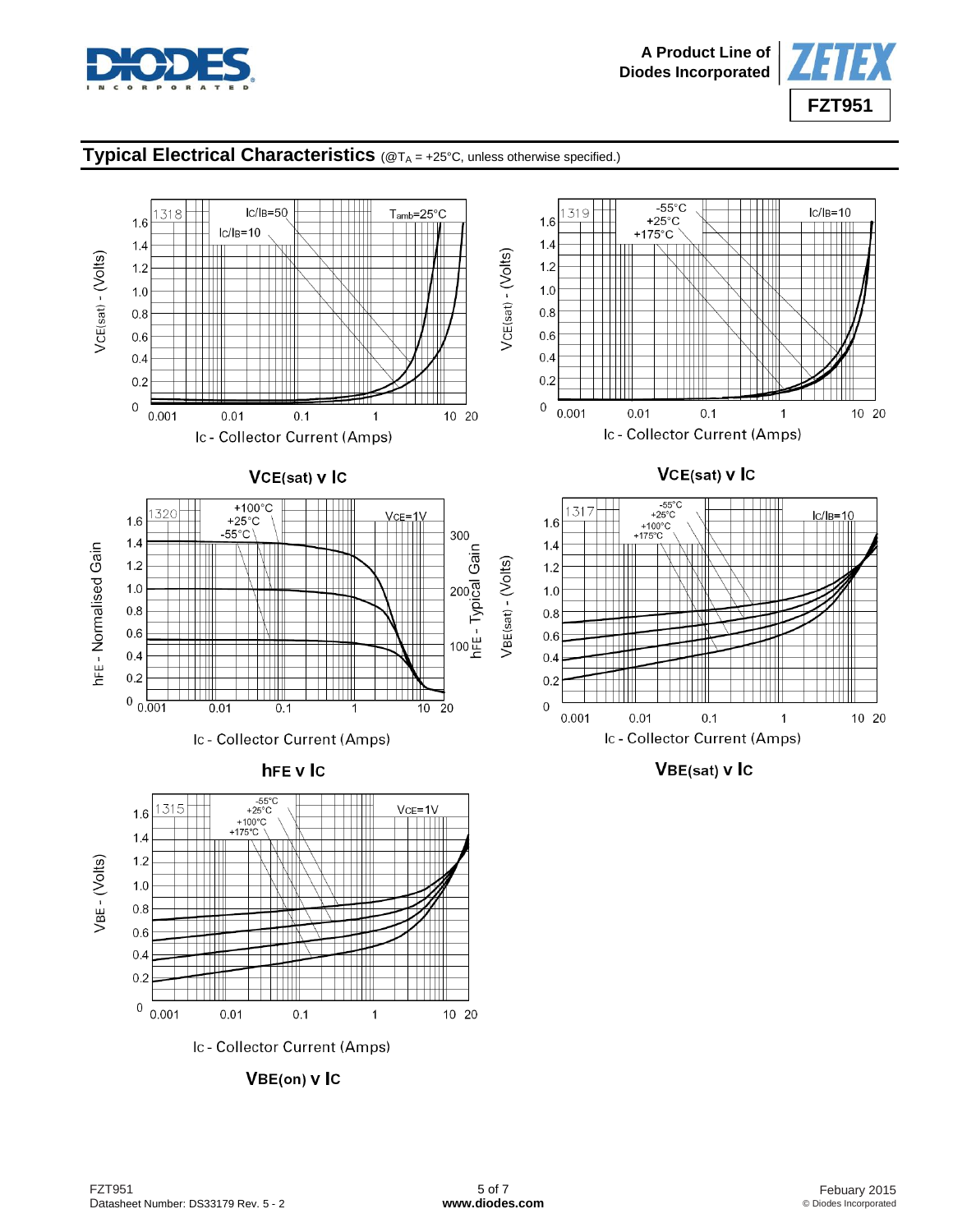



### **Typical Electrical Characteristics** (@TA = +25°C, unless otherwise specified.)

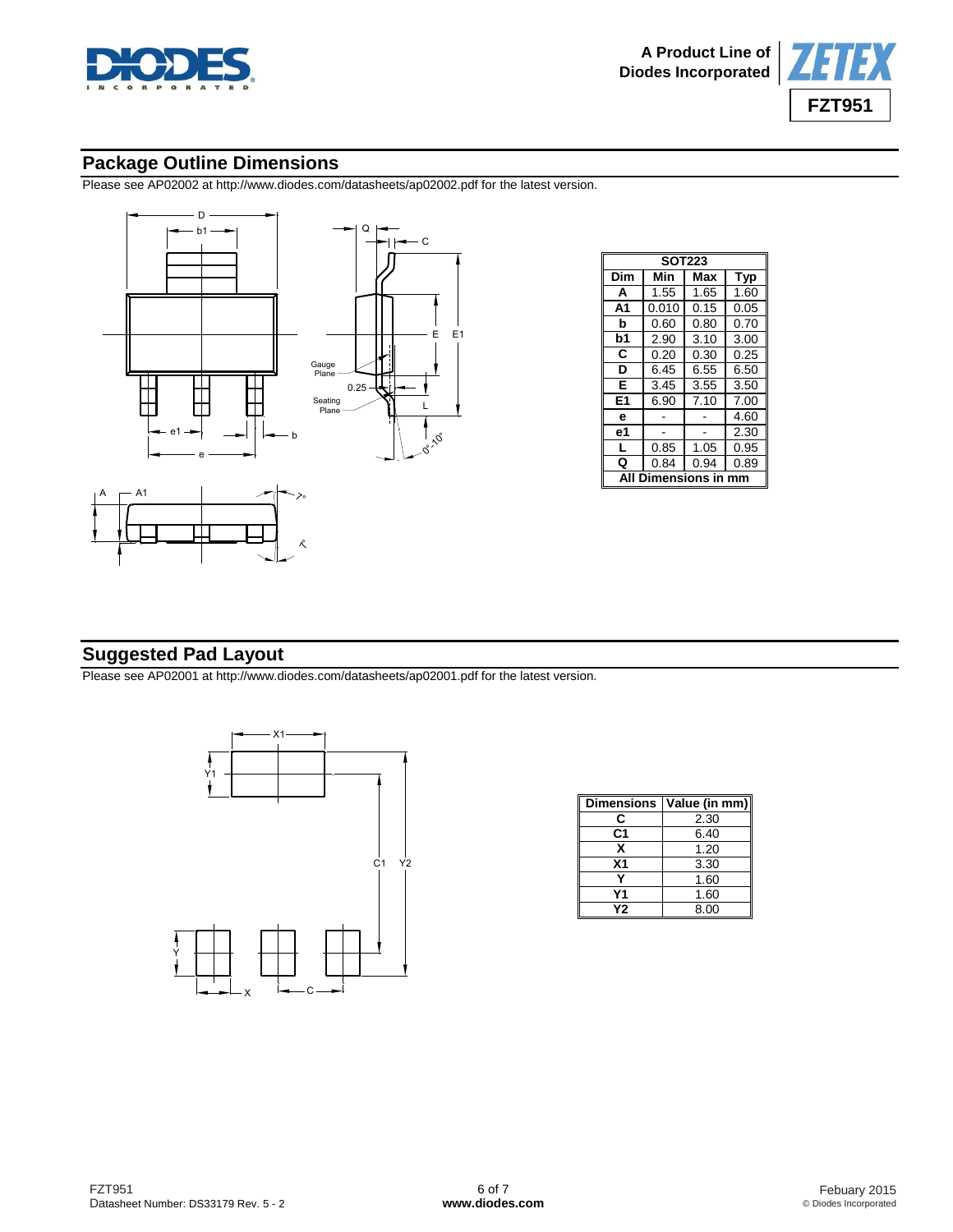



## **Package Outline Dimensions**

Please see AP02002 at [http://www.diodes.com/datasheets/ap02002.pdf fo](http://www.diodes.com/datasheets/ap02002.pdf)r the latest version.





|    | Gauge<br>Plane   |      |           |  |
|----|------------------|------|-----------|--|
|    |                  | 0.25 |           |  |
|    | Seating<br>Plane |      | L         |  |
|    |                  |      | $\sim$ 00 |  |
|    |                  |      |           |  |
| ≻∘ |                  |      |           |  |

|                           | <b>SOT223</b> |      |            |  |  |  |
|---------------------------|---------------|------|------------|--|--|--|
| Dim                       | Min           | Max  | <b>Typ</b> |  |  |  |
| A                         | 1.55          | 1.65 | 1.60       |  |  |  |
| A1                        | 0.010         | 0.15 | 0.05       |  |  |  |
| b                         | 0.60          | 0.80 | 0.70       |  |  |  |
| b1                        | 2.90          | 3.10 | 3.00       |  |  |  |
| C                         | 0.20          | 0.30 | 0.25       |  |  |  |
| D                         | 6.45          | 6.55 | 6.50       |  |  |  |
| E                         | 3.45          | 3.55 | 3.50       |  |  |  |
| E <sub>1</sub>            | 6.90          | 7.10 | 7.00       |  |  |  |
| e                         |               |      | 4.60       |  |  |  |
| e1                        |               |      | 2.30       |  |  |  |
| L                         | 0.85          | 1.05 | 0.95       |  |  |  |
| Q                         | 0.84          | 0.94 | 0.89       |  |  |  |
| <b>Dimensions in</b><br>Δ |               |      |            |  |  |  |

## **Suggested Pad Layout**

Please see AP02001 at [http://www.diodes.com/datasheets/ap02001.pdf fo](http://www.diodes.com/datasheets/ap02001.pdf)r the latest version.



| <b>Dimensions</b> | Value (in mm) |
|-------------------|---------------|
| C                 | 2.30          |
| C <sub>1</sub>    | 6.40          |
| х                 | 1.20          |
| X1                | 3.30          |
|                   | 1.60          |
| Υ1                | 1.60          |
| Υ2                | 8.00          |